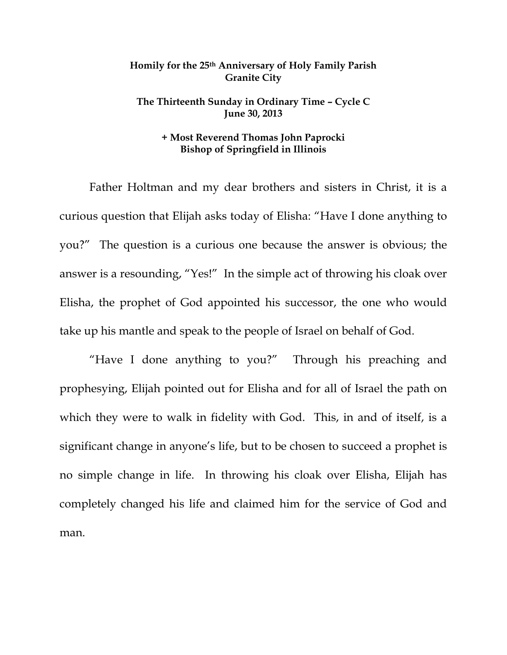## **Homily for the 25th Anniversary of Holy Family Parish Granite City**

## **The Thirteenth Sunday in Ordinary Time – Cycle C June 30, 2013**

## **+ Most Reverend Thomas John Paprocki Bishop of Springfield in Illinois**

 Father Holtman and my dear brothers and sisters in Christ, it is a curious question that Elijah asks today of Elisha: "Have I done anything to you?" The question is a curious one because the answer is obvious; the answer is a resounding, "Yes!" In the simple act of throwing his cloak over Elisha, the prophet of God appointed his successor, the one who would take up his mantle and speak to the people of Israel on behalf of God.

 "Have I done anything to you?" Through his preaching and prophesying, Elijah pointed out for Elisha and for all of Israel the path on which they were to walk in fidelity with God. This, in and of itself, is a significant change in anyone's life, but to be chosen to succeed a prophet is no simple change in life. In throwing his cloak over Elisha, Elijah has completely changed his life and claimed him for the service of God and man.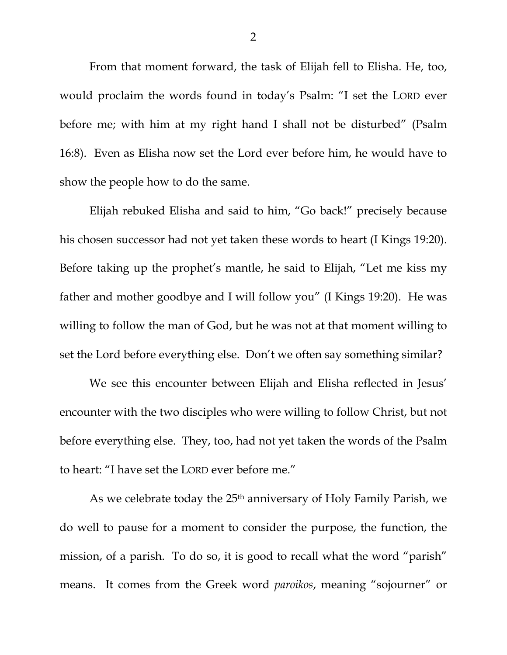From that moment forward, the task of Elijah fell to Elisha. He, too, would proclaim the words found in today's Psalm: "I set the LORD ever before me; with him at my right hand I shall not be disturbed" (Psalm 16:8). Even as Elisha now set the Lord ever before him, he would have to show the people how to do the same.

 Elijah rebuked Elisha and said to him, "Go back!" precisely because his chosen successor had not yet taken these words to heart (I Kings 19:20). Before taking up the prophet's mantle, he said to Elijah, "Let me kiss my father and mother goodbye and I will follow you" (I Kings 19:20). He was willing to follow the man of God, but he was not at that moment willing to set the Lord before everything else. Don't we often say something similar?

 We see this encounter between Elijah and Elisha reflected in Jesus' encounter with the two disciples who were willing to follow Christ, but not before everything else. They, too, had not yet taken the words of the Psalm to heart: "I have set the LORD ever before me."

As we celebrate today the 25<sup>th</sup> anniversary of Holy Family Parish, we do well to pause for a moment to consider the purpose, the function, the mission, of a parish. To do so, it is good to recall what the word "parish" means. It comes from the Greek word *paroikos*, meaning "sojourner" or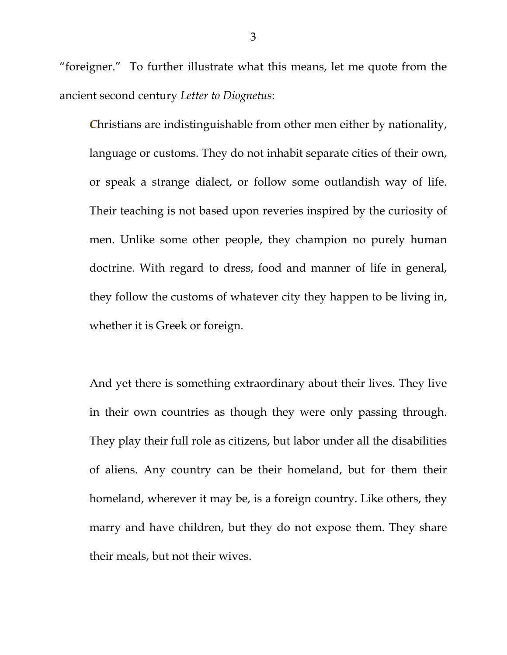"foreigner." To further illustrate what this means, let me quote from the ancient second century *Letter to Diognetus*:

*C*hristians are indistinguishable from other men either by nationality, language or customs. They do not inhabit separate cities of their own, or speak a strange dialect, or follow some outlandish way of life. Their teaching is not based upon reveries inspired by the curiosity of men. Unlike some other people, they champion no purely human doctrine. With regard to dress, food and manner of life in general, they follow the customs of whatever city they happen to be living in, whether it is Greek or foreign.

And yet there is something extraordinary about their lives. They live in their own countries as though they were only passing through. They play their full role as citizens, but labor under all the disabilities of aliens. Any country can be their homeland, but for them their homeland, wherever it may be, is a foreign country. Like others, they marry and have children, but they do not expose them. They share their meals, but not their wives.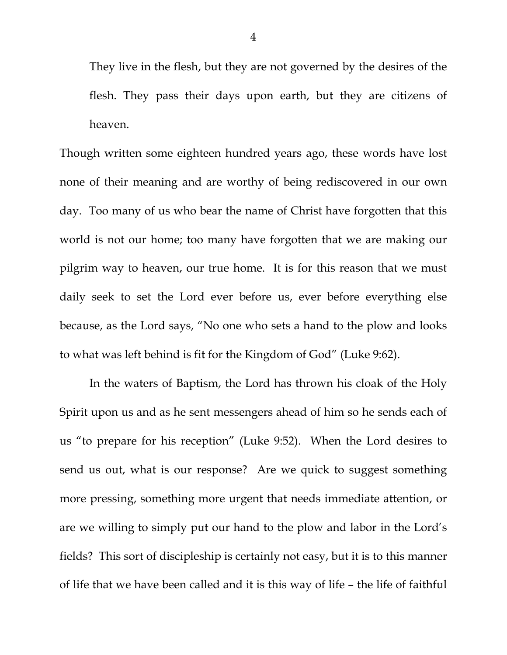They live in the flesh, but they are not governed by the desires of the flesh. They pass their days upon earth, but they are citizens of heaven.

Though written some eighteen hundred years ago, these words have lost none of their meaning and are worthy of being rediscovered in our own day. Too many of us who bear the name of Christ have forgotten that this world is not our home; too many have forgotten that we are making our pilgrim way to heaven, our true home. It is for this reason that we must daily seek to set the Lord ever before us, ever before everything else because, as the Lord says, "No one who sets a hand to the plow and looks to what was left behind is fit for the Kingdom of God" (Luke 9:62).

 In the waters of Baptism, the Lord has thrown his cloak of the Holy Spirit upon us and as he sent messengers ahead of him so he sends each of us "to prepare for his reception" (Luke 9:52). When the Lord desires to send us out, what is our response? Are we quick to suggest something more pressing, something more urgent that needs immediate attention, or are we willing to simply put our hand to the plow and labor in the Lord's fields? This sort of discipleship is certainly not easy, but it is to this manner of life that we have been called and it is this way of life – the life of faithful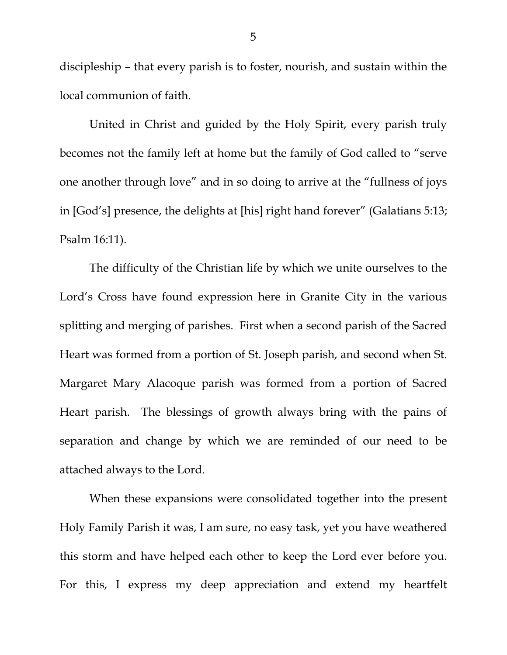discipleship – that every parish is to foster, nourish, and sustain within the local communion of faith.

 United in Christ and guided by the Holy Spirit, every parish truly becomes not the family left at home but the family of God called to "serve one another through love" and in so doing to arrive at the "fullness of joys in [God's] presence, the delights at [his] right hand forever" (Galatians 5:13; Psalm 16:11).

 The difficulty of the Christian life by which we unite ourselves to the Lord's Cross have found expression here in Granite City in the various splitting and merging of parishes. First when a second parish of the Sacred Heart was formed from a portion of St. Joseph parish, and second when St. Margaret Mary Alacoque parish was formed from a portion of Sacred Heart parish. The blessings of growth always bring with the pains of separation and change by which we are reminded of our need to be attached always to the Lord.

 When these expansions were consolidated together into the present Holy Family Parish it was, I am sure, no easy task, yet you have weathered this storm and have helped each other to keep the Lord ever before you. For this, I express my deep appreciation and extend my heartfelt